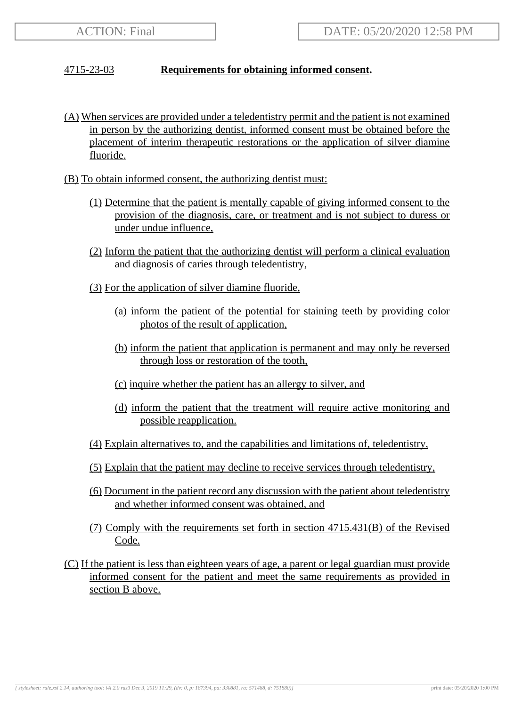## 4715-23-03 **Requirements for obtaining informed consent.**

- (A) When services are provided under a teledentistry permit and the patient is not examined in person by the authorizing dentist, informed consent must be obtained before the placement of interim therapeutic restorations or the application of silver diamine fluoride.
- (B) To obtain informed consent, the authorizing dentist must:
	- (1) Determine that the patient is mentally capable of giving informed consent to the provision of the diagnosis, care, or treatment and is not subject to duress or under undue influence,
	- (2) Inform the patient that the authorizing dentist will perform a clinical evaluation and diagnosis of caries through teledentistry,
	- (3) For the application of silver diamine fluoride,
		- (a) inform the patient of the potential for staining teeth by providing color photos of the result of application,
		- (b) inform the patient that application is permanent and may only be reversed through loss or restoration of the tooth,
		- (c) inquire whether the patient has an allergy to silver, and
		- (d) inform the patient that the treatment will require active monitoring and possible reapplication.
	- (4) Explain alternatives to, and the capabilities and limitations of, teledentistry,
	- (5) Explain that the patient may decline to receive services through teledentistry,
	- (6) Document in the patient record any discussion with the patient about teledentistry and whether informed consent was obtained, and
	- (7) Comply with the requirements set forth in section 4715.431(B) of the Revised Code.
- (C) If the patient is less than eighteen years of age, a parent or legal guardian must provide informed consent for the patient and meet the same requirements as provided in section B above.